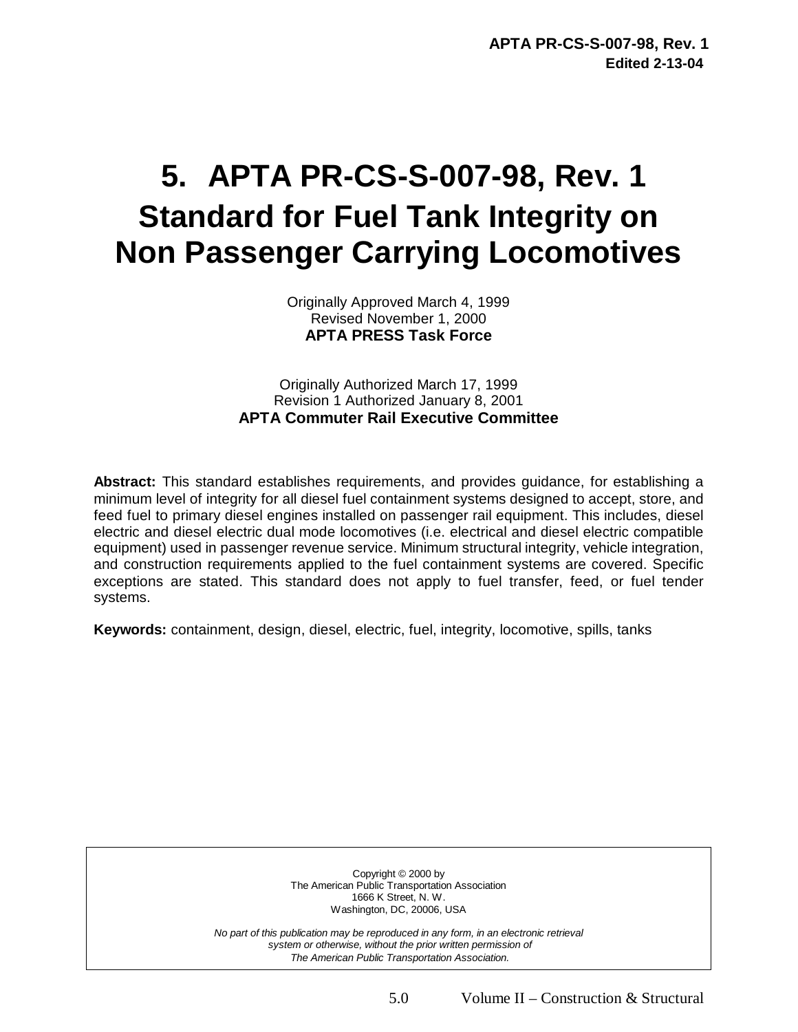# **5. APTA PR-CS-S-007-98, Rev. 1 Standard for Fuel Tank Integrity on Non Passenger Carrying Locomotives**

Originally Approved March 4, 1999 Revised November 1, 2000 **APTA PRESS Task Force** 

Originally Authorized March 17, 1999 Revision 1 Authorized January 8, 2001 **APTA Commuter Rail Executive Committee** 

**Abstract:** This standard establishes requirements, and provides guidance, for establishing a minimum level of integrity for all diesel fuel containment systems designed to accept, store, and feed fuel to primary diesel engines installed on passenger rail equipment. This includes, diesel electric and diesel electric dual mode locomotives (i.e. electrical and diesel electric compatible equipment) used in passenger revenue service. Minimum structural integrity, vehicle integration, and construction requirements applied to the fuel containment systems are covered. Specific exceptions are stated. This standard does not apply to fuel transfer, feed, or fuel tender systems.

**Keywords:** containment, design, diesel, electric, fuel, integrity, locomotive, spills, tanks

Copyright © 2000 by The American Public Transportation Association 1666 K Street, N. W. Washington, DC, 20006, USA

*No part of this publication may be reproduced in any form, in an electronic retrieval system or otherwise, without the prior written permission of The American Public Transportation Association.*

5.0 Volume II – Construction & Structural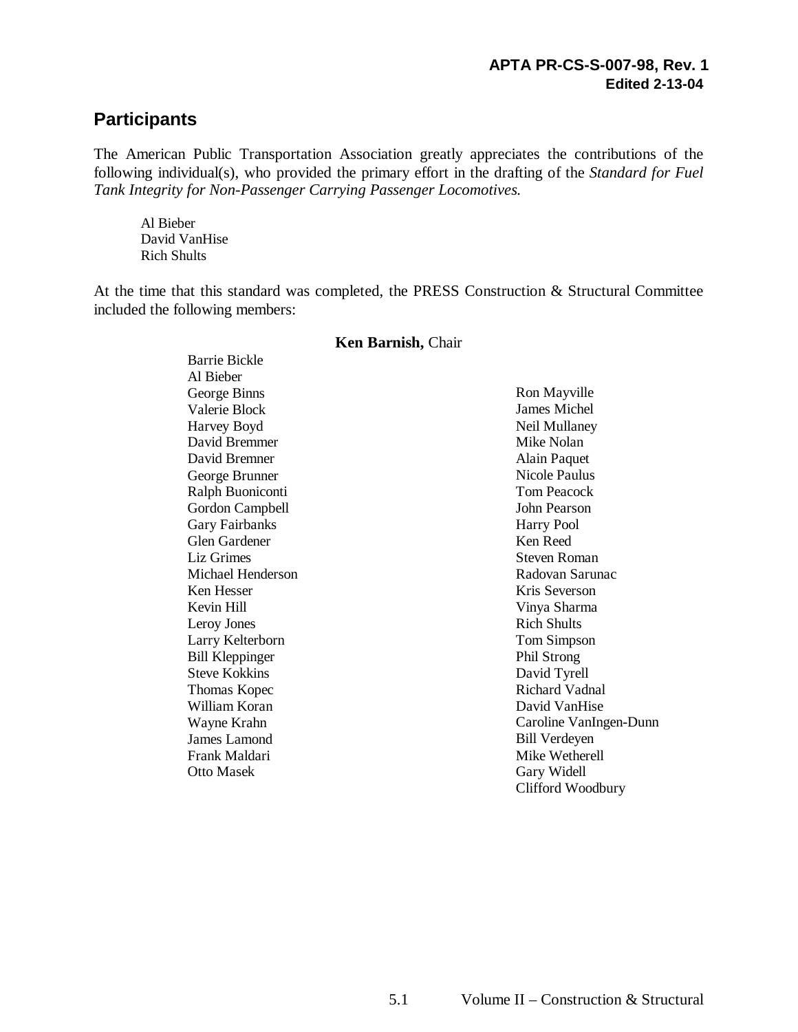### **Participants**

The American Public Transportation Association greatly appreciates the contributions of the following individual(s), who provided the primary effort in the drafting of the *Standard for Fuel Tank Integrity for Non-Passenger Carrying Passenger Locomotives.* 

Al Bieber David VanHise Rich Shults

At the time that this standard was completed, the PRESS Construction & Structural Committee included the following members:

| Barrie Bickle          |                        |
|------------------------|------------------------|
| Al Bieber              |                        |
| George Binns           | Ron Mayville           |
| Valerie Block          | James Michel           |
| Harvey Boyd            | Neil Mullaney          |
| David Bremmer          | Mike Nolan             |
| David Bremner          | Alain Paquet           |
| George Brunner         | Nicole Paulus          |
| Ralph Buoniconti       | <b>Tom Peacock</b>     |
| <b>Gordon Campbell</b> | John Pearson           |
| <b>Gary Fairbanks</b>  | Harry Pool             |
| <b>Glen Gardener</b>   | Ken Reed               |
| <b>Liz Grimes</b>      | Steven Roman           |
| Michael Henderson      | Radovan Sarunac        |
| Ken Hesser             | Kris Severson          |
| Kevin Hill             | Vinya Sharma           |
| Leroy Jones            | <b>Rich Shults</b>     |
| Larry Kelterborn       | Tom Simpson            |
| <b>Bill Kleppinger</b> | Phil Strong            |
| Steve Kokkins          | David Tyrell           |
| Thomas Kopec           | <b>Richard Vadnal</b>  |
| William Koran          | David VanHise          |
| Wayne Krahn            | Caroline VanIngen-Dunn |
| James Lamond           | <b>Bill Verdeyen</b>   |
| Frank Maldari          | Mike Wetherell         |
| Otto Masek             | Gary Widell            |

#### **Ken Barnish,** Chair

Clifford Woodbury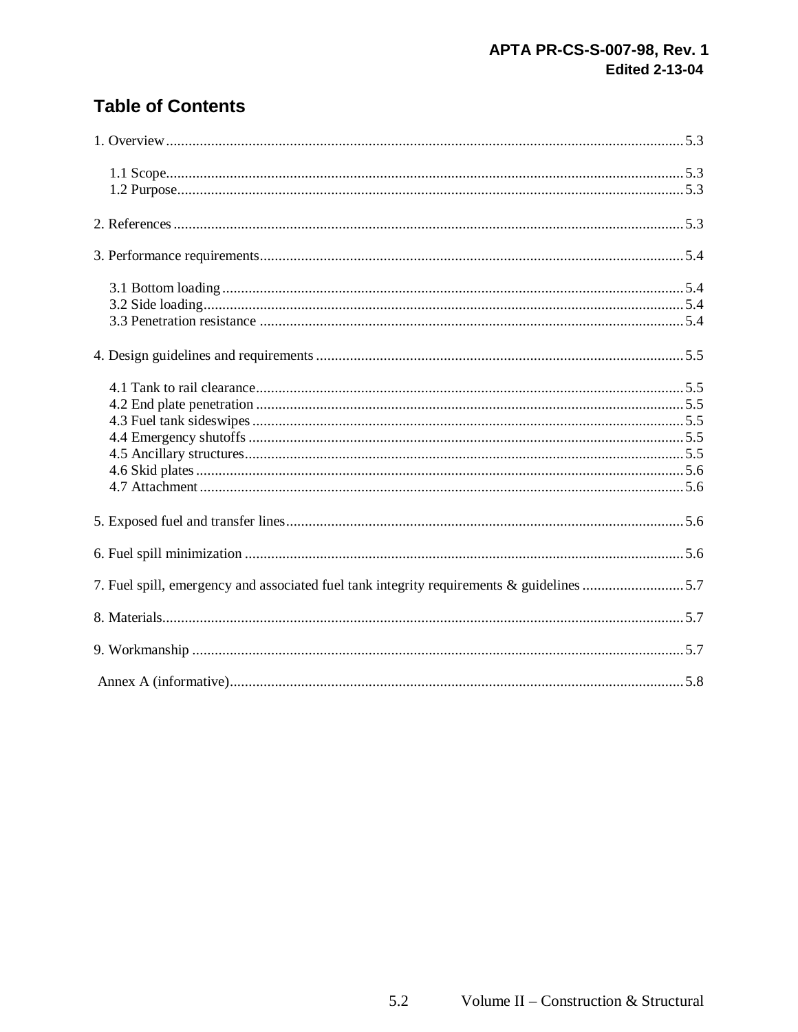# **Table of Contents**

| 7. Fuel spill, emergency and associated fuel tank integrity requirements & guidelines 5.7 |  |
|-------------------------------------------------------------------------------------------|--|
|                                                                                           |  |
|                                                                                           |  |
|                                                                                           |  |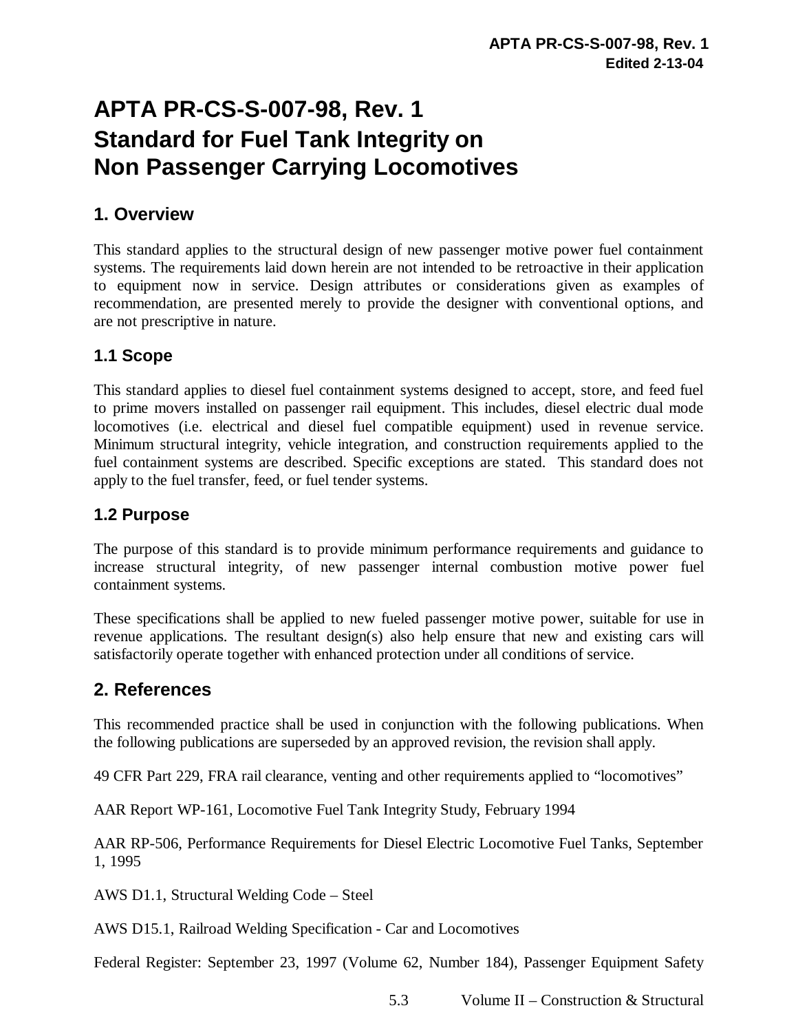# **APTA PR-CS-S-007-98, Rev. 1 Standard for Fuel Tank Integrity on Non Passenger Carrying Locomotives**

### **1. Overview**

This standard applies to the structural design of new passenger motive power fuel containment systems. The requirements laid down herein are not intended to be retroactive in their application to equipment now in service. Design attributes or considerations given as examples of recommendation*,* are presented merely to provide the designer with conventional options, and are not prescriptive in nature.

#### **1.1 Scope**

This standard applies to diesel fuel containment systems designed to accept, store, and feed fuel to prime movers installed on passenger rail equipment. This includes, diesel electric dual mode locomotives (i.e. electrical and diesel fuel compatible equipment) used in revenue service. Minimum structural integrity, vehicle integration, and construction requirements applied to the fuel containment systems are described. Specific exceptions are stated. This standard does not apply to the fuel transfer, feed, or fuel tender systems.

#### **1.2 Purpose**

The purpose of this standard is to provide minimum performance requirements and guidance to increase structural integrity, of new passenger internal combustion motive power fuel containment systems.

These specifications shall be applied to new fueled passenger motive power, suitable for use in revenue applications. The resultant design(s) also help ensure that new and existing cars will satisfactorily operate together with enhanced protection under all conditions of service.

#### **2. References**

This recommended practice shall be used in conjunction with the following publications. When the following publications are superseded by an approved revision, the revision shall apply.

49 CFR Part 229, FRA rail clearance, venting and other requirements applied to "locomotives"

AAR Report WP-161, Locomotive Fuel Tank Integrity Study, February 1994

AAR RP-506, Performance Requirements for Diesel Electric Locomotive Fuel Tanks, September 1, 1995

AWS D1.1, Structural Welding Code – Steel

AWS D15.1, Railroad Welding Specification - Car and Locomotives

Federal Register: September 23, 1997 (Volume 62, Number 184), Passenger Equipment Safety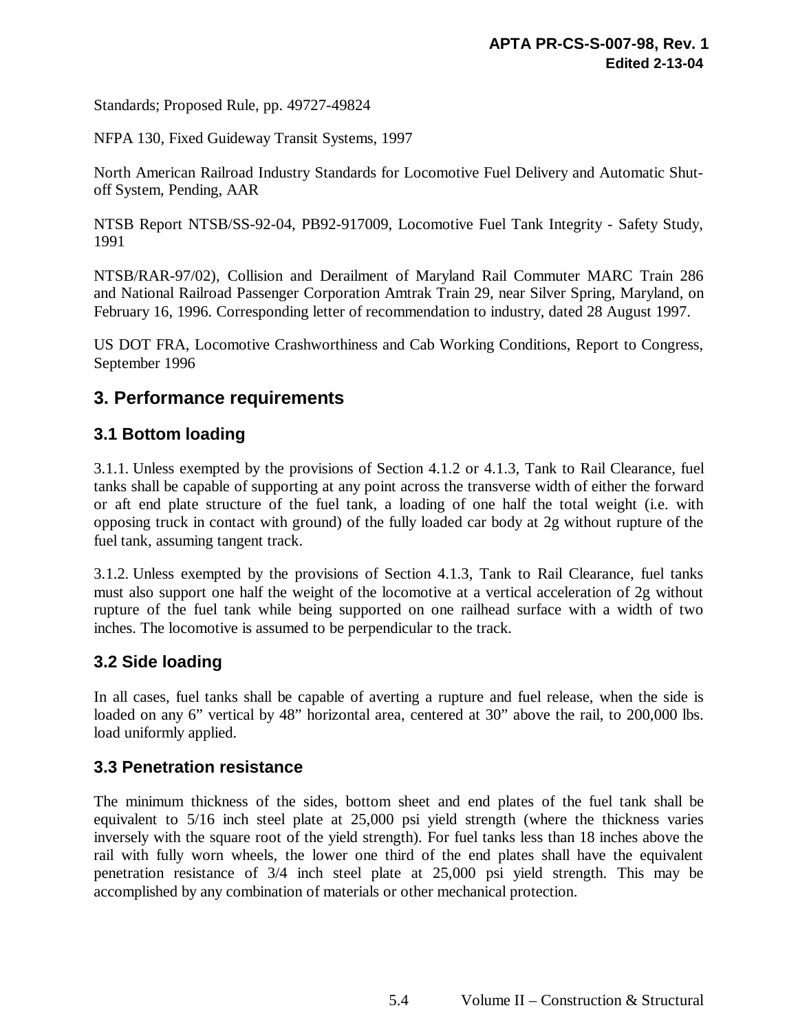Standards; Proposed Rule, pp. 49727-49824

NFPA 130, Fixed Guideway Transit Systems, 1997

North American Railroad Industry Standards for Locomotive Fuel Delivery and Automatic Shutoff System, Pending, AAR

NTSB Report NTSB/SS-92-04, PB92-917009, Locomotive Fuel Tank Integrity - Safety Study, 1991

NTSB/RAR-97/02), Collision and Derailment of Maryland Rail Commuter MARC Train 286 and National Railroad Passenger Corporation Amtrak Train 29, near Silver Spring, Maryland, on February 16, 1996. Corresponding letter of recommendation to industry, dated 28 August 1997.

US DOT FRA, Locomotive Crashworthiness and Cab Working Conditions, Report to Congress, September 1996

#### **3. Performance requirements**

#### **3.1 Bottom loading**

3.1.1. Unless exempted by the provisions of Section 4.1.2 or 4.1.3, Tank to Rail Clearance, fuel tanks shall be capable of supporting at any point across the transverse width of either the forward or aft end plate structure of the fuel tank, a loading of one half the total weight (i.e. with opposing truck in contact with ground) of the fully loaded car body at 2g without rupture of the fuel tank, assuming tangent track.

3.1.2. Unless exempted by the provisions of Section 4.1.3, Tank to Rail Clearance, fuel tanks must also support one half the weight of the locomotive at a vertical acceleration of 2g without rupture of the fuel tank while being supported on one railhead surface with a width of two inches. The locomotive is assumed to be perpendicular to the track.

#### **3.2 Side loading**

In all cases, fuel tanks shall be capable of averting a rupture and fuel release, when the side is loaded on any 6" vertical by 48" horizontal area, centered at 30" above the rail, to 200,000 lbs. load uniformly applied.

#### **3.3 Penetration resistance**

The minimum thickness of the sides, bottom sheet and end plates of the fuel tank shall be equivalent to 5/16 inch steel plate at 25,000 psi yield strength (where the thickness varies inversely with the square root of the yield strength). For fuel tanks less than 18 inches above the rail with fully worn wheels, the lower one third of the end plates shall have the equivalent penetration resistance of 3/4 inch steel plate at 25,000 psi yield strength. This may be accomplished by any combination of materials or other mechanical protection.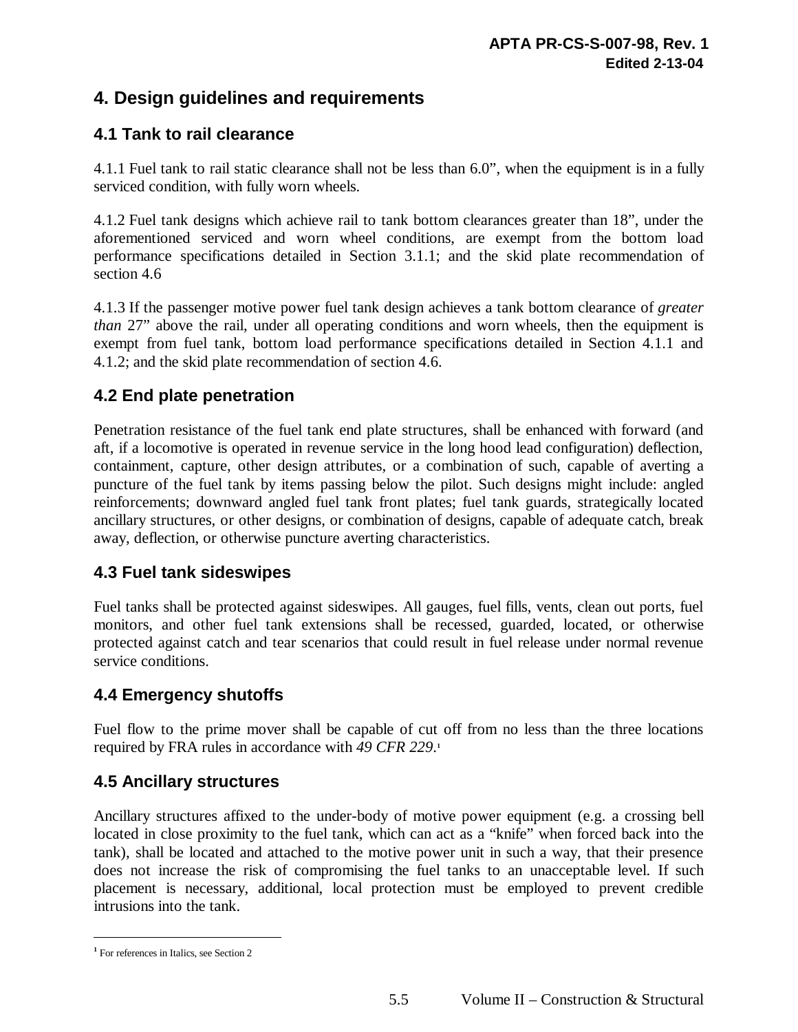# **4. Design guidelines and requirements**

#### **4.1 Tank to rail clearance**

4.1.1 Fuel tank to rail static clearance shall not be less than 6.0", when the equipment is in a fully serviced condition, with fully worn wheels.

4.1.2 Fuel tank designs which achieve rail to tank bottom clearances greater than 18", under the aforementioned serviced and worn wheel conditions, are exempt from the bottom load performance specifications detailed in Section 3.1.1; and the skid plate recommendation of section 4.6

4.1.3 If the passenger motive power fuel tank design achieves a tank bottom clearance of *greater than* 27" above the rail, under all operating conditions and worn wheels, then the equipment is exempt from fuel tank, bottom load performance specifications detailed in Section 4.1.1 and 4.1.2; and the skid plate recommendation of section 4.6.

#### **4.2 End plate penetration**

Penetration resistance of the fuel tank end plate structures, shall be enhanced with forward (and aft, if a locomotive is operated in revenue service in the long hood lead configuration) deflection, containment, capture, other design attributes, or a combination of such, capable of averting a puncture of the fuel tank by items passing below the pilot. Such designs might include: angled reinforcements; downward angled fuel tank front plates; fuel tank guards, strategically located ancillary structures, or other designs, or combination of designs, capable of adequate catch, break away, deflection, or otherwise puncture averting characteristics.

#### **4.3 Fuel tank sideswipes**

Fuel tanks shall be protected against sideswipes. All gauges, fuel fills, vents, clean out ports, fuel monitors, and other fuel tank extensions shall be recessed, guarded, located, or otherwise protected against catch and tear scenarios that could result in fuel release under normal revenue service conditions.

#### **4.4 Emergency shutoffs**

Fuel flow to the prime mover shall be capable of cut off from no less than the three locations required by FRA rules in accordance with *49 CFR 229*. **1**

#### **4.5 Ancillary structures**

Ancillary structures affixed to the under-body of motive power equipment (e.g. a crossing bell located in close proximity to the fuel tank, which can act as a "knife" when forced back into the tank), shall be located and attached to the motive power unit in such a way, that their presence does not increase the risk of compromising the fuel tanks to an unacceptable level. If such placement is necessary, additional, local protection must be employed to prevent credible intrusions into the tank.

 **1** For references in Italics, see Section 2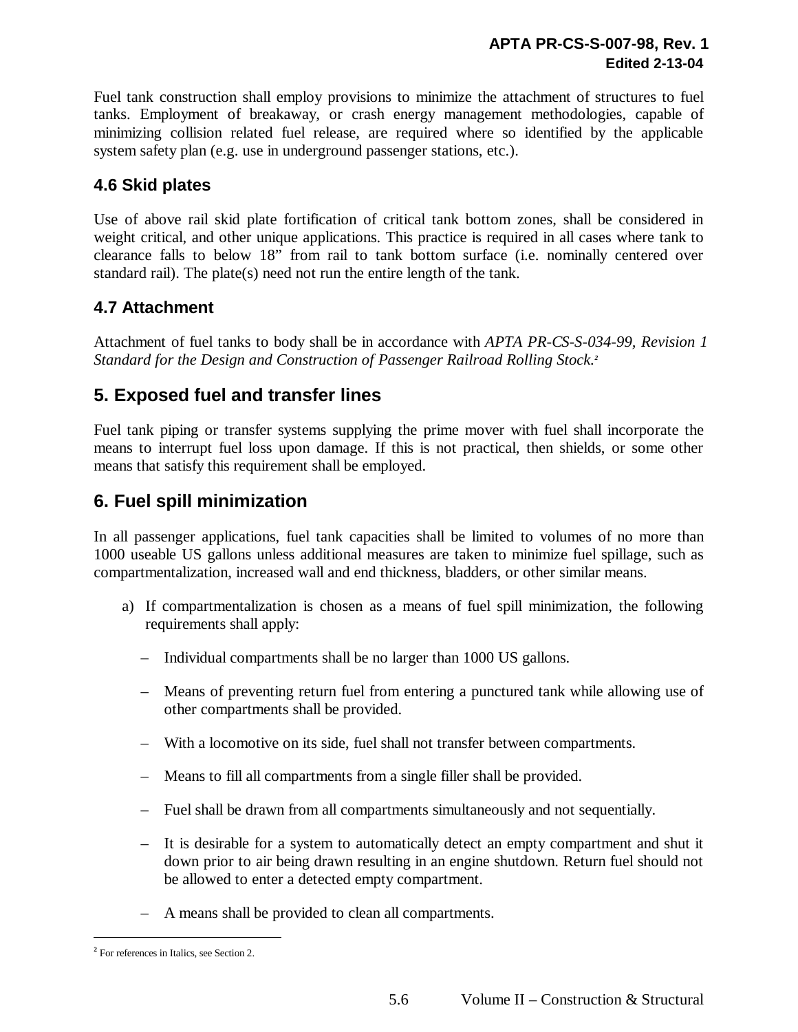Fuel tank construction shall employ provisions to minimize the attachment of structures to fuel tanks. Employment of breakaway, or crash energy management methodologies, capable of minimizing collision related fuel release, are required where so identified by the applicable system safety plan (e.g. use in underground passenger stations, etc.).

#### **4.6 Skid plates**

Use of above rail skid plate fortification of critical tank bottom zones, shall be considered in weight critical, and other unique applications. This practice is required in all cases where tank to clearance falls to below 18" from rail to tank bottom surface (i.e. nominally centered over standard rail). The plate(s) need not run the entire length of the tank.

#### **4.7 Attachment**

Attachment of fuel tanks to body shall be in accordance with *APTA PR-CS-S-034-99, Revision 1 Standard for the Design and Construction of Passenger Railroad Rolling Stock.<sup>2</sup>* 

## **5. Exposed fuel and transfer lines**

Fuel tank piping or transfer systems supplying the prime mover with fuel shall incorporate the means to interrupt fuel loss upon damage. If this is not practical, then shields, or some other means that satisfy this requirement shall be employed.

# **6. Fuel spill minimization**

In all passenger applications, fuel tank capacities shall be limited to volumes of no more than 1000 useable US gallons unless additional measures are taken to minimize fuel spillage, such as compartmentalization, increased wall and end thickness, bladders, or other similar means.

- a) If compartmentalization is chosen as a means of fuel spill minimization, the following requirements shall apply:
	- Individual compartments shall be no larger than 1000 US gallons.
	- Means of preventing return fuel from entering a punctured tank while allowing use of other compartments shall be provided.
	- With a locomotive on its side, fuel shall not transfer between compartments.
	- Means to fill all compartments from a single filler shall be provided.
	- Fuel shall be drawn from all compartments simultaneously and not sequentially.
	- It is desirable for a system to automatically detect an empty compartment and shut it down prior to air being drawn resulting in an engine shutdown. Return fuel should not be allowed to enter a detected empty compartment.
	- A means shall be provided to clean all compartments.

 **2** For references in Italics, see Section 2.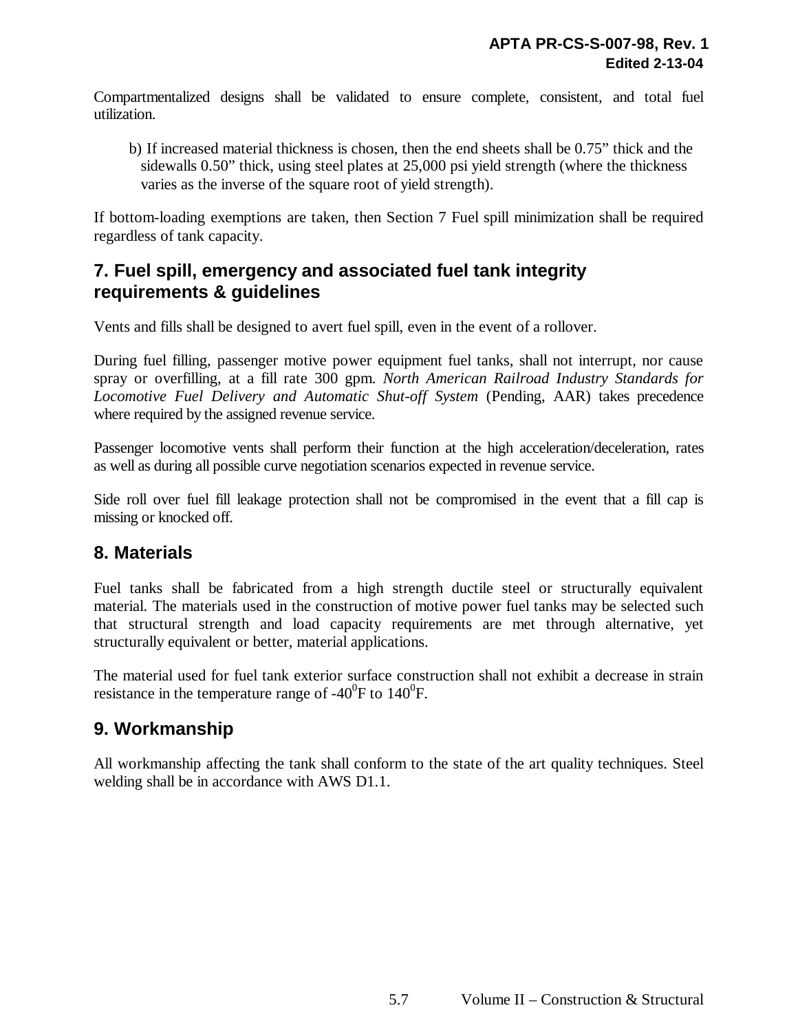Compartmentalized designs shall be validated to ensure complete, consistent, and total fuel utilization.

b) If increased material thickness is chosen, then the end sheets shall be 0.75" thick and the sidewalls 0.50" thick, using steel plates at 25,000 psi yield strength (where the thickness varies as the inverse of the square root of yield strength).

If bottom-loading exemptions are taken, then Section 7 Fuel spill minimization shall be required regardless of tank capacity.

## **7. Fuel spill, emergency and associated fuel tank integrity requirements & guidelines**

Vents and fills shall be designed to avert fuel spill, even in the event of a rollover.

During fuel filling, passenger motive power equipment fuel tanks, shall not interrupt, nor cause spray or overfilling, at a fill rate 300 gpm. *North American Railroad Industry Standards for Locomotive Fuel Delivery and Automatic Shut-off System* (Pending, AAR) takes precedence where required by the assigned revenue service.

Passenger locomotive vents shall perform their function at the high acceleration/deceleration, rates as well as during all possible curve negotiation scenarios expected in revenue service.

Side roll over fuel fill leakage protection shall not be compromised in the event that a fill cap is missing or knocked off.

#### **8. Materials**

Fuel tanks shall be fabricated from a high strength ductile steel or structurally equivalent material. The materials used in the construction of motive power fuel tanks may be selected such that structural strength and load capacity requirements are met through alternative, yet structurally equivalent or better, material applications.

The material used for fuel tank exterior surface construction shall not exhibit a decrease in strain resistance in the temperature range of -40 $^0$ F to 140 $^0$ F.

#### **9. Workmanship**

All workmanship affecting the tank shall conform to the state of the art quality techniques. Steel welding shall be in accordance with AWS D1.1.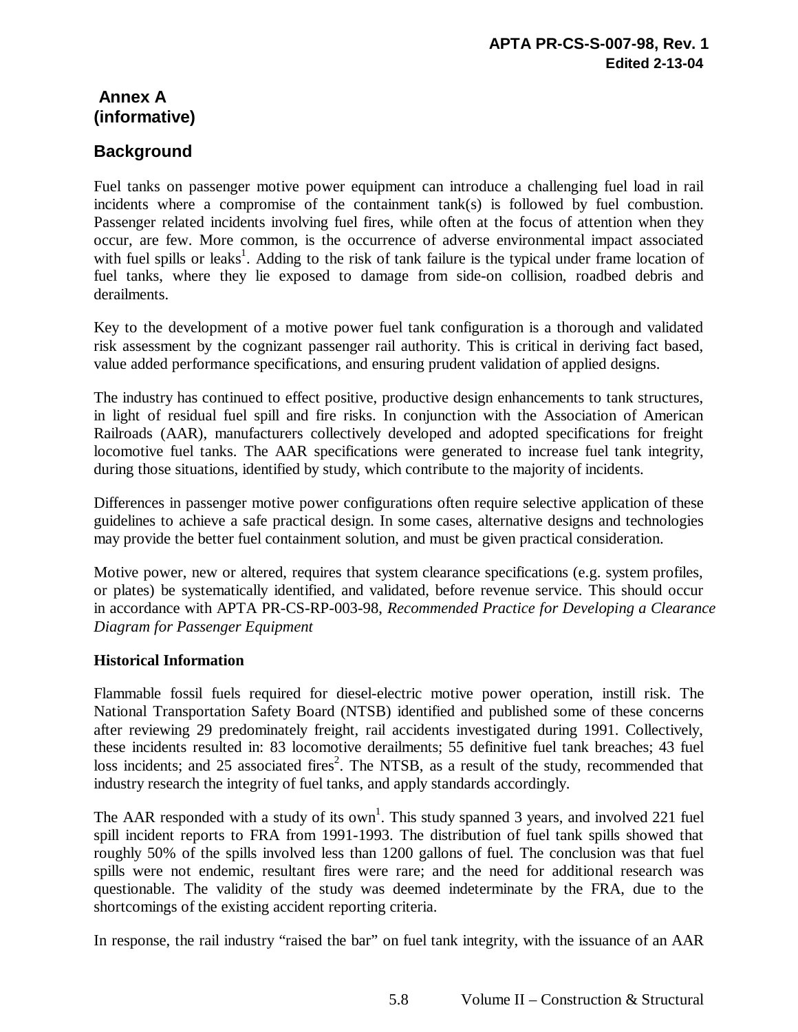# **Annex A (informative)**

#### **Background**

Fuel tanks on passenger motive power equipment can introduce a challenging fuel load in rail incidents where a compromise of the containment tank(s) is followed by fuel combustion. Passenger related incidents involving fuel fires, while often at the focus of attention when they occur, are few. More common, is the occurrence of adverse environmental impact associated with fuel spills or leaks<sup>1</sup>. Adding to the risk of tank failure is the typical under frame location of fuel tanks, where they lie exposed to damage from side-on collision, roadbed debris and derailments.

Key to the development of a motive power fuel tank configuration is a thorough and validated risk assessment by the cognizant passenger rail authority. This is critical in deriving fact based, value added performance specifications, and ensuring prudent validation of applied designs.

The industry has continued to effect positive, productive design enhancements to tank structures, in light of residual fuel spill and fire risks. In conjunction with the Association of American Railroads (AAR), manufacturers collectively developed and adopted specifications for freight locomotive fuel tanks. The AAR specifications were generated to increase fuel tank integrity, during those situations, identified by study, which contribute to the majority of incidents.

Differences in passenger motive power configurations often require selective application of these guidelines to achieve a safe practical design. In some cases, alternative designs and technologies may provide the better fuel containment solution, and must be given practical consideration.

Motive power, new or altered, requires that system clearance specifications (e.g. system profiles, or plates) be systematically identified, and validated, before revenue service. This should occur in accordance with APTA PR-CS-RP-003-98, *Recommended Practice for Developing a Clearance Diagram for Passenger Equipment*

#### **Historical Information**

Flammable fossil fuels required for diesel-electric motive power operation, instill risk. The National Transportation Safety Board (NTSB) identified and published some of these concerns after reviewing 29 predominately freight, rail accidents investigated during 1991. Collectively, these incidents resulted in: 83 locomotive derailments; 55 definitive fuel tank breaches; 43 fuel loss incidents; and 25 associated fires<sup>2</sup>. The NTSB, as a result of the study, recommended that industry research the integrity of fuel tanks, and apply standards accordingly.

The AAR responded with a study of its own<sup>1</sup>. This study spanned 3 years, and involved 221 fuel spill incident reports to FRA from 1991-1993. The distribution of fuel tank spills showed that roughly 50% of the spills involved less than 1200 gallons of fuel. The conclusion was that fuel spills were not endemic, resultant fires were rare; and the need for additional research was questionable. The validity of the study was deemed indeterminate by the FRA, due to the shortcomings of the existing accident reporting criteria.

In response, the rail industry "raised the bar" on fuel tank integrity, with the issuance of an AAR